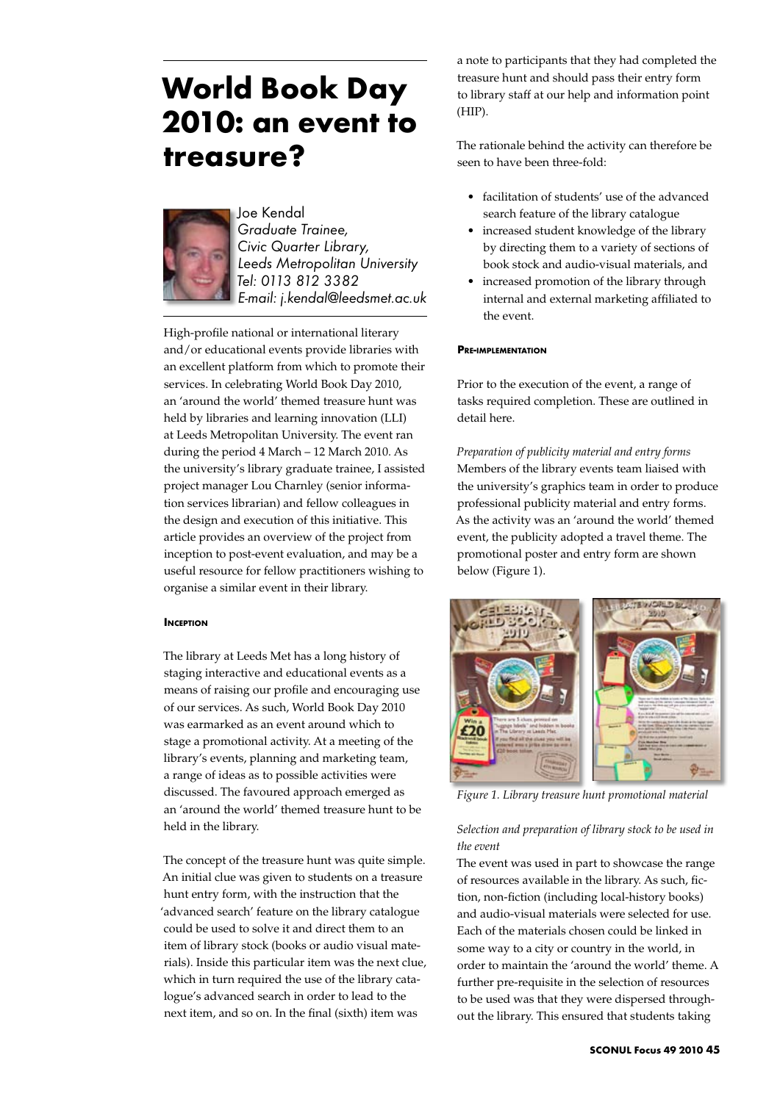# **World Book Day 2010: an event to treasure?**



Joe Kendal *Graduate Trainee, Civic Quarter Library, Leeds Metropolitan University Tel: 0113 812 3382 E-mail: j.kendal@leedsmet.ac.uk*

High-profile national or international literary and/or educational events provide libraries with an excellent platform from which to promote their services. In celebrating World Book Day 2010, an 'around the world' themed treasure hunt was held by libraries and learning innovation (LLI) at Leeds Metropolitan University. The event ran during the period 4 March – 12 March 2010. As the university's library graduate trainee, I assisted project manager Lou Charnley (senior information services librarian) and fellow colleagues in the design and execution of this initiative. This article provides an overview of the project from inception to post-event evaluation, and may be a useful resource for fellow practitioners wishing to organise a similar event in their library.

## **INCEPTION**

The library at Leeds Met has a long history of staging interactive and educational events as a means of raising our profile and encouraging use of our services. As such, World Book Day 2010 was earmarked as an event around which to stage a promotional activity. At a meeting of the library's events, planning and marketing team, a range of ideas as to possible activities were discussed. The favoured approach emerged as an 'around the world' themed treasure hunt to be held in the library.

The concept of the treasure hunt was quite simple. An initial clue was given to students on a treasure hunt entry form, with the instruction that the 'advanced search' feature on the library catalogue could be used to solve it and direct them to an item of library stock (books or audio visual materials). Inside this particular item was the next clue, which in turn required the use of the library catalogue's advanced search in order to lead to the next item, and so on. In the final (sixth) item was

a note to participants that they had completed the treasure hunt and should pass their entry form to library staff at our help and information point (HIP).

The rationale behind the activity can therefore be seen to have been three-fold:

- facilitation of students' use of the advanced search feature of the library catalogue
- increased student knowledge of the library by directing them to a variety of sections of book stock and audio-visual materials, and
- increased promotion of the library through internal and external marketing affiliated to the event.

## **Pre-implementation**

Prior to the execution of the event, a range of tasks required completion. These are outlined in detail here.

*Preparation of publicity material and entry forms* Members of the library events team liaised with the university's graphics team in order to produce professional publicity material and entry forms. As the activity was an 'around the world' themed event, the publicity adopted a travel theme. The promotional poster and entry form are shown below (Figure 1).



*Figure 1. Library treasure hunt promotional material*

# *Selection and preparation of library stock to be used in the event*

The event was used in part to showcase the range of resources available in the library. As such, fiction, non-fiction (including local-history books) and audio-visual materials were selected for use. Each of the materials chosen could be linked in some way to a city or country in the world, in order to maintain the 'around the world' theme. A further pre-requisite in the selection of resources to be used was that they were dispersed throughout the library. This ensured that students taking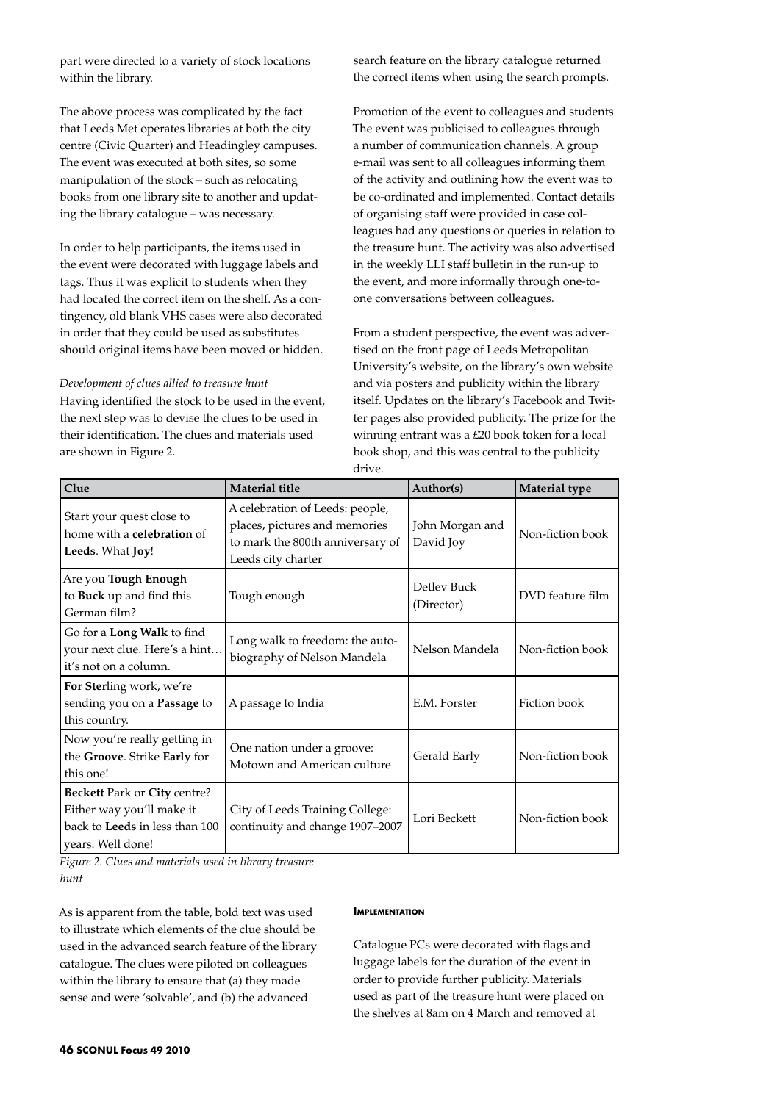part were directed to a variety of stock locations within the library.

The above process was complicated by the fact that Leeds Met operates libraries at both the city centre (Civic Quarter) and Headingley campuses. The event was executed at both sites, so some manipulation of the stock – such as relocating books from one library site to another and updating the library catalogue – was necessary.

In order to help participants, the items used in the event were decorated with luggage labels and tags. Thus it was explicit to students when they had located the correct item on the shelf. As a contingency, old blank VHS cases were also decorated in order that they could be used as substitutes should original items have been moved or hidden.

### *Development of clues allied to treasure hunt*

Having identified the stock to be used in the event, the next step was to devise the clues to be used in their identification. The clues and materials used are shown in Figure 2.

search feature on the library catalogue returned the correct items when using the search prompts.

Promotion of the event to colleagues and students The event was publicised to colleagues through a number of communication channels. A group e-mail was sent to all colleagues informing them of the activity and outlining how the event was to be co-ordinated and implemented. Contact details of organising staff were provided in case colleagues had any questions or queries in relation to the treasure hunt. The activity was also advertised in the weekly LLI staff bulletin in the run-up to the event, and more informally through one-toone conversations between colleagues.

From a student perspective, the event was advertised on the front page of Leeds Metropolitan University's website, on the library's own website and via posters and publicity within the library itself. Updates on the library's Facebook and Twitter pages also provided publicity. The prize for the winning entrant was a £20 book token for a local book shop, and this was central to the publicity drive.

| Clue                                                                                                                           | <b>Material title</b>                                                                                                      | Author(s)                    | <b>Material type</b> |
|--------------------------------------------------------------------------------------------------------------------------------|----------------------------------------------------------------------------------------------------------------------------|------------------------------|----------------------|
| Start your quest close to<br>home with a <b>celebration</b> of<br>Leeds. What Joy!                                             | A celebration of Leeds: people,<br>places, pictures and memories<br>to mark the 800th anniversary of<br>Leeds city charter | John Morgan and<br>David Joy | Non-fiction book     |
| Are you Tough Enough<br>to Buck up and find this<br>German film?                                                               | Tough enough                                                                                                               | Detley Buck<br>(Director)    | DVD feature film     |
| Go for a Long Walk to find<br>your next clue. Here's a hint<br>it's not on a column.                                           | Long walk to freedom: the auto-<br>biography of Nelson Mandela                                                             | Nelson Mandela               | Non-fiction book     |
| For Sterling work, we're<br>sending you on a <b>Passage</b> to<br>this country.                                                | A passage to India                                                                                                         | E.M. Forster                 | Fiction book         |
| Now you're really getting in<br>the Groove. Strike Early for<br>this one!                                                      | One nation under a groove:<br>Motown and American culture                                                                  | Gerald Early                 | Non-fiction book     |
| <b>Beckett Park or City centre?</b><br>Either way you'll make it<br>back to <b>Leeds</b> in less than 100<br>years. Well done! | City of Leeds Training College:<br>continuity and change 1907-2007                                                         | Lori Beckett                 | Non-fiction book     |

*Figure 2. Clues and materials used in library treasure hunt*

As is apparent from the table, bold text was used to illustrate which elements of the clue should be used in the advanced search feature of the library catalogue. The clues were piloted on colleagues within the library to ensure that (a) they made sense and were 'solvable', and (b) the advanced

#### **IMPLEMENTATION**

Catalogue PCs were decorated with flags and luggage labels for the duration of the event in order to provide further publicity. Materials used as part of the treasure hunt were placed on the shelves at 8am on 4 March and removed at